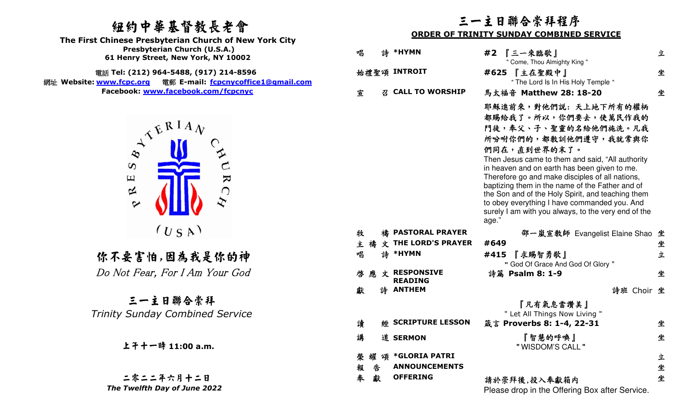網址 **Website: www.fcpc.org**電郵 **E-mail: fcpcnycoffice1@gmail.com Facebook: www.facebook.com/fcpcnyc**



## 上午十一時 **11:00 a.m.**

二零二二年六月十二日 *The Twelfth Day of June 2022* 

### 三一主日聯合崇拜程序

### **ORDER OF TRINITY SUNDAY COMBINED SERVICE**

| 纽约中華基督教長老會<br>The First Chinese Presbyterian Church of New York City                                                 | 二一王日聊谷宗孙衽序<br><b>ORDER OF TRINITY SUNDAY COMBINED SERVICE</b> |   |                                            |                                                                                                                                                                                                                                                                                                                                                                                                                                                                                              |        |  |
|----------------------------------------------------------------------------------------------------------------------|---------------------------------------------------------------|---|--------------------------------------------|----------------------------------------------------------------------------------------------------------------------------------------------------------------------------------------------------------------------------------------------------------------------------------------------------------------------------------------------------------------------------------------------------------------------------------------------------------------------------------------------|--------|--|
| Presbyterian Church (U.S.A.)<br>61 Henry Street, New York, NY 10002                                                  | 唱                                                             |   | 詩 *HYMN                                    | #2 『三一來臨歌』<br>" Come, Thou Almighty King "                                                                                                                                                                                                                                                                                                                                                                                                                                                   | 立      |  |
| 電話 Tel: (212) 964-5488, (917) 214-8596<br>Website: www.fcpc.org<br>電郵 E-mail: fcpcnycoffice1@gmail.com               |                                                               |   | 始禮聖頌 INTROIT                               | #625 【主在聖殿中】<br>" The Lord Is In His Holy Temple "                                                                                                                                                                                                                                                                                                                                                                                                                                           | 坐      |  |
| Facebook: www.facebook.com/fcpcnyc                                                                                   | 宣                                                             | 召 | <b>CALL TO WORSHIP</b>                     | 馬太福音 Matthew 28: 18-20                                                                                                                                                                                                                                                                                                                                                                                                                                                                       | 坐      |  |
| $\Lambda^{E^{RIA}$<br>$\infty$<br>$\boldsymbol{\omega}$<br>$\mathbf{K}$<br>$\Xi$<br>$\approx$<br>$\bigcap$<br>$\sim$ |                                                               |   |                                            | 耶穌進前來,對他們說: 天上地下所有的權柄<br>都賜給我了。所以,你們要去,使萬民作我的<br>門徒,奉父、子、聖靈的名給他們施洗。凡我<br>所吩咐你們的,都教訓他們遵守,我就常與你<br>們同在,直到世界的末了。<br>Then Jesus came to them and said, "All authority<br>in heaven and on earth has been given to me.<br>Therefore go and make disciples of all nations,<br>baptizing them in the name of the Father and of<br>the Son and of the Holy Spirit, and teaching them<br>to obey everything I have commanded you. And<br>surely I am with you always, to the very end of the<br>age." |        |  |
| (U S A)                                                                                                              | 牧                                                             |   | 禱 PASTORAL PRAYER<br>禱 文 THE LORD'S PRAYER | 邵一嵐宣教師 Evangelist Elaine Shao 坐<br>#649                                                                                                                                                                                                                                                                                                                                                                                                                                                      |        |  |
|                                                                                                                      | 主<br>唱                                                        |   | 詩 *HYMN                                    | 『求賜智勇歌』<br>#415                                                                                                                                                                                                                                                                                                                                                                                                                                                                              | 坐<br>立 |  |
| 你不要害怕,因為我是你的神                                                                                                        |                                                               |   |                                            | " God Of Grace And God Of Glory "                                                                                                                                                                                                                                                                                                                                                                                                                                                            |        |  |
| Do Not Fear, For I Am Your God                                                                                       |                                                               |   | 啓 應 文 RESPONSIVE<br><b>READING</b>         | 詩篇 Psalm 8: 1-9                                                                                                                                                                                                                                                                                                                                                                                                                                                                              | 坐      |  |
|                                                                                                                      | 獻                                                             |   | 詩 ANTHEM                                   | 詩班 Choir 坐                                                                                                                                                                                                                                                                                                                                                                                                                                                                                   |        |  |
| 三一主日聯合崇拜                                                                                                             |                                                               |   |                                            | 『凡有氣息當讚美』                                                                                                                                                                                                                                                                                                                                                                                                                                                                                    |        |  |
| <b>Trinity Sunday Combined Service</b>                                                                               | 讀                                                             |   | <b>經 SCRIPTURE LESSON</b>                  | " Let All Things Now Living "<br>箴言 Proverbs 8: 1-4, 22-31                                                                                                                                                                                                                                                                                                                                                                                                                                   | 坐      |  |
| 上午十一時 11:00 a.m.                                                                                                     | 講                                                             |   | 道 SERMON                                   | 『智慧的呼喚』<br>" WISDOM'S CALL "                                                                                                                                                                                                                                                                                                                                                                                                                                                                 | 坐      |  |
|                                                                                                                      | 榮<br>耀                                                        | 頌 | <b>*GLORIA PATRI</b>                       |                                                                                                                                                                                                                                                                                                                                                                                                                                                                                              | 立      |  |
|                                                                                                                      | 報                                                             | 告 | <b>ANNOUNCEMENTS</b>                       |                                                                                                                                                                                                                                                                                                                                                                                                                                                                                              | 坐      |  |
| 二零二二年六月十二日<br>The Twelfth Day of June 2022                                                                           | 奉                                                             | 獻 | <b>OFFERING</b>                            | 請於崇拜後,投入奉獻箱内<br>drep in the Offering Deverter Convice                                                                                                                                                                                                                                                                                                                                                                                                                                        | 坐      |  |

Please drop in the Offering Box after Service.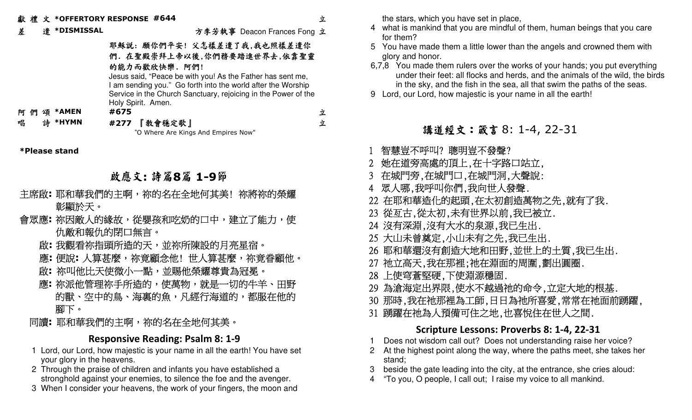差 遣 **\*DISMISSAL**

方李芳執事 Deacon Frances Fong 立

### 耶穌說: 願你們平安! 父怎樣差遣了我,我也照樣差遣你 們. 在聖殿崇拜上帝以後,你們務要踏進世界去,依靠聖靈的能力而歡欣快樂. 阿們!

 Jesus said, "Peace be with you! As the Father has sent me, I am sending you." Go forth into the world after the Worship Service in the Church Sanctuary, rejoicing in the Power of the Holy Spirit. Amen.

阿 們 頌 **\*AMEN #675** 

唱 詩 **\*HYMN #277** 『教會穩定歌』"O Where Are Kings And Empires Now"

**\*Please stand**

### 啟應文**:** 詩篇**8**篇 **1-9**節

- 主席啟**:** 耶和華我們的主啊,祢的名在全地何其美! 祢將祢的榮耀 彰顯於天。
- 會眾應**:** 祢因敵人的緣故,從嬰孩和吃奶的口中,建立了能力,使 仇敵和報仇的閉口無言。
	- 啟**:** 我觀看祢指頭所造的天,並祢所陳設的月亮星宿。
	- 應**:** 便說**:** 人算甚麼,祢竟顧念他! 世人算甚麼,祢竟眷顧他。
- 啟**:** 祢叫他比天使微小一點,並賜他榮耀尊貴為冠冕。
- 應**:** 祢派他管理祢手所造的,使萬物,就是一切的牛羊、田野 的獸、空中的鳥、海裏的魚,凡經行海道的,都服在他的 腳下。
- 同讀**:** 耶和華我們的主啊,祢的名在全地何其美。

### **Responsive Reading: Psalm 8: 1-9**

- 1 Lord, our Lord, how majestic is your name in all the earth! You have set your glory in the heavens.
- 2 Through the praise of children and infants you have established a stronghold against your enemies, to silence the foe and the avenger.
- 3 When I consider your heavens, the work of your fingers, the moon and

the stars, which you have set in place,

- 4 what is mankind that you are mindful of them, human beings that you care for them?
- 5 You have made them a little lower than the angels and crowned them with glory and honor.
- 6,7,8 You made them rulers over the works of your hands; you put everything under their feet: all flocks and herds, and the animals of the wild, the birds in the sky, and the fish in the sea, all that swim the paths of the seas.
- 9 Lord, our Lord, how majestic is your name in all the earth!

## 講道經文:箴言 8: 1-4, 22-31

- 1 智慧豈不呼叫? 聰明豈不發聲?
- 2她在道旁高處的頂上,在十字路口站立,
- 3在城門旁,在城門口,在城門洞,大聲說:
- 4眾人哪,我呼叫你們,我向世人發聲.
- 22 在耶和華造化的起頭,在太初創造萬物之先,就有了我.
- 23 從亙古,從太初,未有世界以前,我已被立.
- 24 沒有深淵,沒有大水的泉源,我已生出.
- 25 大山未曾奠定,小山未有之先,我已生出.
- 26 耶和華還沒有創造大地和田野,並世上的土質,我已生出.
- 27 祂立高天,我在那裡;祂在淵面的周圍,劃出圓圈.
- 28 上使穹蒼堅硬,下使淵源穩固.
- 29 為滄海定出界限,使水不越過祂的命令,立定大地的根基.
- 30 那時,我在祂那裡為工師,日日為祂所喜愛,常常在祂面前踴躍,
- 31 踴躍在祂為人預備可住之地,也喜悅住在世人之間.

### **Scripture Lessons: Proverbs 8: 1-4, 22-31**

- 1 Does not wisdom call out? Does not understanding raise her voice?
- 2 At the highest point along the way, where the paths meet, she takes her stand;
- 3 beside the gate leading into the city, at the entrance, she cries aloud:
	- 4 "To you, O people, I call out; I raise my voice to all mankind.

立

立 立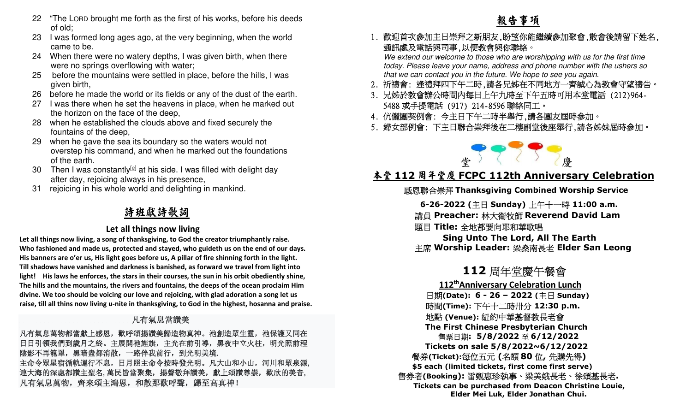- 22 "The LORD brought me forth as the first of his works, before his deeds of old;
- 23 I was formed long ages ago, at the very beginning, when the world came to be.
- 24 When there were no watery depths, I was given birth, when there were no springs overflowing with water;
- 25 before the mountains were settled in place, before the hills, I was given birth,
- 26 before he made the world or its fields or any of the dust of the earth.
- 27 I was there when he set the heavens in place, when he marked out the horizon on the face of the deep,
- 28 when he established the clouds above and fixed securely the fountains of the deep,
- 29 when he gave the sea its boundary so the waters would not overstep his command, and when he marked out the foundations of the earth.
- 30 Then I was constantly<sup>[e]</sup> at his side. I was filled with delight day after day, rejoicing always in his presence,
- 31 rejoicing in his whole world and delighting in mankind.

## 詩班獻詩歌詞

### **Let all things now living**

**Let all things now living, a song of thanksgiving, to God the creator triumphantly raise. Who fashioned and made us, protected and stayed, who guideth us on the end of our days. His banners are o'er us, His light goes before us, A pillar of fire shinning forth in the light. Till shadows have vanished and darkness is banished, as forward we travel from light into light! His laws he enforces, the stars in their courses, the sun in his orbit obediently shine, The hills and the mountains, the rivers and fountains, the deeps of the ocean proclaim Him divine. We too should be voicing our love and rejoicing, with glad adoration a song let us raise, till all thins now living u-nite in thanksgiving, to God in the highest, hosanna and praise.** 

### **九**年的人,他们的人们都是一个人的人们,但是,他们的人们都是一个人的人, 有氣息當讚美

凡有氣息萬物都當獻上感恩,歡呼頌揚讚美歸造物真神。祂創造眾生靈,祂保護又同在 日日引領我們到歲月之終。主展開祂旌旗,主光在前引導,黑夜中立火柱,明光照前程 陰影不再籠罩,黑暗盡都消散,一路伴我前行,到光明美境. 主命令眾星宿循軌運行不息,日月照主命令按時發光明。凡大山和小山,河川和眾泉源, 連大海的深處都讚主聖名,萬民皆當聚集,揚聲敬拜讚美,獻上頌讚尊崇,歡欣的美音, 凡有氣息萬物,齊來頌主鴻恩,和散那歡呼聲,歸至高真神!

### 1. 歡迎首次參加主日崇拜之新朋友,盼望你能繼續參加聚會,散會後請留下姓名, 通訊處及電話與司事,以便教會與你聯絡。

 We extend our welcome to those who are worshipping with us for the first time today. Please leave your name, address and phone number with the ushers so that we can contact you in the future. We hope to see you again.

- 2. 祈禱會: 逢禮拜四下午二時,請各兄姊在不同地方一齊誠心為教會守望禱告。
- 3. 兄姊於教會辦公時間內每日上午九時至下午五時可用本堂電話 (212)964- 5488或手提電話 (917) 214-8596聯絡同工。
- 4. 伉儷團契例會: 今主日下午二時半舉行,請各團友屆時參加。
- 5. 婦女部例會: 下主日聯合崇拜後在二樓副堂後座舉行,請各姊妹屆時參加。



# 堂<br><mark>本堂 112 周年堂慶 FCPC 112th Anniversary Celebration</mark>

## 感恩聯合崇拜 **Thanksgiving Combined Worship Service**

**6-26-2022 (**主日 **Sunday)**  上午十一時 **11:00 a.m.**

 講員 **Preacher:** 林大衛牧師 **Reverend David Lam**  題目 **Title:** 全地都要向耶和華歌唱

  **Sing Unto The Lord, All The Earth** 主席 **Worship Leader:** 梁燊南長老 **Elder San Leong** 

### **112**周年堂慶午餐會

  **112thAnniversary Celebration Lunch**  日期**(Date): 6 - 26 – 2022 (**主日 **Sunday)**  時間**(Time):** 下午十二時卅分 **12:30 p.m.**  地點 **(Venue):** 紐約中華基督教長老會  **The First Chinese Presbyterian Church** 售票日期**: 5/8/2022**至 **6/12/2022 Tickets on sale 5/8/2022~6/12/2022** 餐券**(Ticket):**每位五元 **(**名額 **<sup>80</sup>** 位**,** 先購先得**)** ited tickets, first come first  **\$5 each (limited tickets, first come first serve)**  售券者**(Booking):** 雷甄惠珍執事、梁美娥長老、徐頌基長老**. Tickets can be purchased from Deacon Christine Louie, Elder Mei Luk, Elder Jonathan Chui.**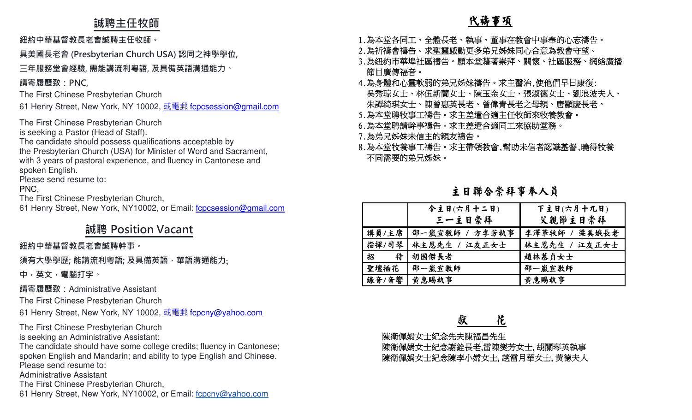### **誠聘主任牧師**

**紐約中華基督教⻑老會誠聘主任牧師。**

**具美國⻑老會 (Presbyterian Church USA) 認同之神學學位,** 

### **三年服務堂會經驗, 需能講流利粵語, 及具備英語溝通能力。**

**請寄履歷致:PNC,**

The First Chinese Presbyterian Church

61 Henry Street, New York, NY 10002, <u>或電郵 f<mark>cpcsession@gmail.com</mark></u>

The First Chinese Presbyterian Church

is seeking a Pastor (Head of Staff).

 The candidate should possess qualifications acceptable by the Presbyterian Church (USA) for Minister of Word and Sacrament, with 3 years of pastoral experience, and fluency in Cantonese and spoken English.

Please send resume to:

PNC,

The First Chinese Presbyterian Church,

61 Henry Street, New York, NY10002, or Email: fcpcsession@gmail.com

## **誠聘 Position Vacant**

### **紐約中華基督教⻑老會誠聘幹事。**

**須有大學學歷; 能講流利粵語; 及具備英語,華語溝通能力**;

**中,英文,電腦打字。 請寄履歷致:**Administrative Assistant

The First Chinese Presbyterian Church

61 Henry Street, New York, NY 10002, <u>或電郵 f<mark>cpcny@yahoo.com</mark></u>

The First Chinese Presbyterian Church

is seeking an Administrative Assistant:

 The candidate should have some college credits; fluency in Cantonese; spoken English and Mandarin; and ability to type English and Chinese.Please send resume to:

Administrative Assistant

The First Chinese Presbyterian Church,

61 Henry Street, New York, NY10002, or Email: fcpcny@yahoo.com

- 1.為本堂各同工、全體長老、執事、董事在教會中事奉的心志禱告。
- 2.為祈禱會禱告。求聖靈感動更多弟兄姊妹同心合意為教會守望。
- 3.為紐約市華埠社區禱告。願本堂藉著崇拜、關懷、社區服務、網絡廣播 節目廣傳福音。
- 4.為身體和心靈軟弱的弟兄姊妹禱告。求主醫治,使他們早日康復: 吳秀琼女士、林伍新蘭女士、陳玉金女士、張淑德女士、劉浪波夫人、 朱譚綺琪女士、陳曾惠英長老、曾偉青長老之母親、唐顯慶長老。
- 5.為本堂聘牧事工禱告。求主差遣合適主任牧師來牧養教會。
- 6.為本堂聘請幹事禱告。求主差遣合適同工來協助堂務。
- 7.為弟兄姊妹未信主的親友禱告。
- 8.為本堂牧養事工禱告。求主帶領教會,幫助未信者認識基督,曉得牧養 不同需要的弟兄姊妹。

主日聯合崇拜事奉人員

|        | 今主日(六月十二日)     | 下主日(六月十九日)    |
|--------|----------------|---------------|
|        | 三一主日崇拜         | 父親節主日崇拜       |
| 講員/主席  | 邵一嵐宣敎師 / 方李芳執事 | 李澤華牧師 / 梁美娥長老 |
| 指揮/司琴  | 林主恩先生 / 江友正女士  | 林主恩先生 / 江友正女士 |
| 待<br>招 | 胡國傑長老          | 趙林慕貞女士        |
| 聖壇插花   | 邵一嵐宣敎師         | 邵一嵐宣教師        |
| 錄音/音響  | 黄惠賜執事          | 黄惠賜執事         |

 陳衛佩娟女士紀念先夫陳福昌先生 陳衛佩娟女士紀念謝銓長老,雷陳爕芳女士, 胡關琴英執事 陳衛佩娟女士紀念陳李小嫦女士, 趙雷月華女士, 黃德夫人

獻 花

### 代禱事項